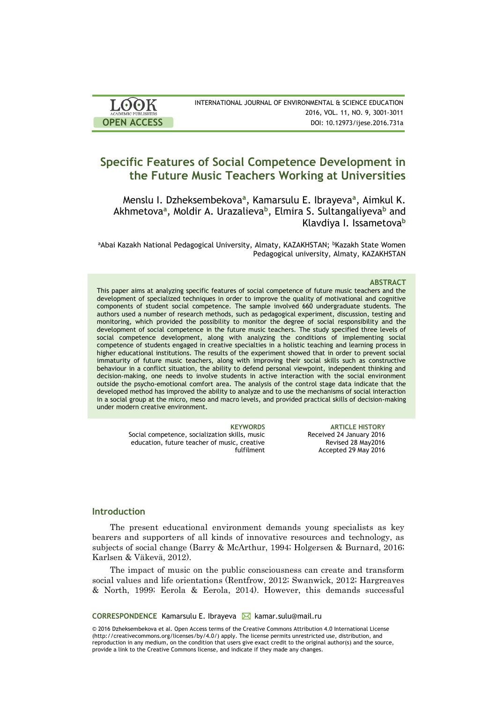| <b>LOOK</b>                | INTERNATIONAL JOURNAL OF ENVIRONMENTAL & SCIENCE EDUCATION |
|----------------------------|------------------------------------------------------------|
| <b>ACADEMIC PUBLISHERS</b> | 2016, VOL. 11, NO. 9, 3001-3011                            |
| <b>OPEN ACCESS</b>         | DOI: 10.12973/ijese.2016.731a                              |

# **Specific Features of Social Competence Development in the Future Music Teachers Working at Universities**

Menslu I. Dzheksembekova**<sup>a</sup>** , Kamarsulu E. Ibrayeva**<sup>a</sup>** , Aimkul K. Akhmetova**<sup>a</sup>** , Moldir A. Urazalieva**<sup>b</sup>** , Elmira S. Sultangaliyeva**<sup>b</sup>** and Klavdiya I. Issametova**<sup>b</sup>**

aAbai Kazakh National Pedagogical University, Almaty, KAZAKHSTAN; <sup>b</sup>Kazakh State Women Pedagogical university, Almaty, KAZAKHSTAN

### **ABSTRACT**

This paper aims at analyzing specific features of social competence of future music teachers and the development of specialized techniques in order to improve the quality of motivational and cognitive components of student social competence. The sample involved 660 undergraduate students. The authors used a number of research methods, such as pedagogical experiment, discussion, testing and monitoring, which provided the possibility to monitor the degree of social responsibility and the development of social competence in the future music teachers. The study specified three levels of social competence development, along with analyzing the conditions of implementing social competence of students engaged in creative specialties in a holistic teaching and learning process in higher educational institutions. The results of the experiment showed that in order to prevent social immaturity of future music teachers, along with improving their social skills such as constructive behaviour in a conflict situation, the ability to defend personal viewpoint, independent thinking and decision-making, one needs to involve students in active interaction with the social environment outside the psycho-emotional comfort area. The analysis of the control stage data indicate that the developed method has improved the ability to analyze and to use the mechanisms of social interaction in a social group at the micro, meso and macro levels, and provided practical skills of decision-making under modern creative environment.

> Social competence, socialization skills, music education, future teacher of music, creative fulfilment

**KEYWORDS ARTICLE HISTORY** Received 24 January 2016 Revised 28 May2016 Accepted 29 May 2016

# **Introduction**

The present educational environment demands young specialists as key bearers and supporters of all kinds of innovative resources and technology, as subjects of social change (Barry & McArthur, 1994; Holgersen & Burnard, 2016; Karlsen & Väkevä, 2012).

The impact of music on the public consciousness can create and transform social values and life orientations (Rentfrow, 2012; Swanwick, 2012; Hargreaves & North, 1999; Eerola & Eerola, 2014). However, this demands successful

CORRESPONDENCE Kamarsulu E. Ibrayeva **K** kamar.sulu@mail.ru

© 2016 Dzheksembekova et al. Open Access terms of the Creative Commons Attribution 4.0 International License (http://creativecommons.org/licenses/by/4.0/) apply. The license permits unrestricted use, distribution, and reproduction in any medium, on the condition that users give exact credit to the original author(s) and the source, provide a link to the Creative Commons license, and indicate if they made any changes.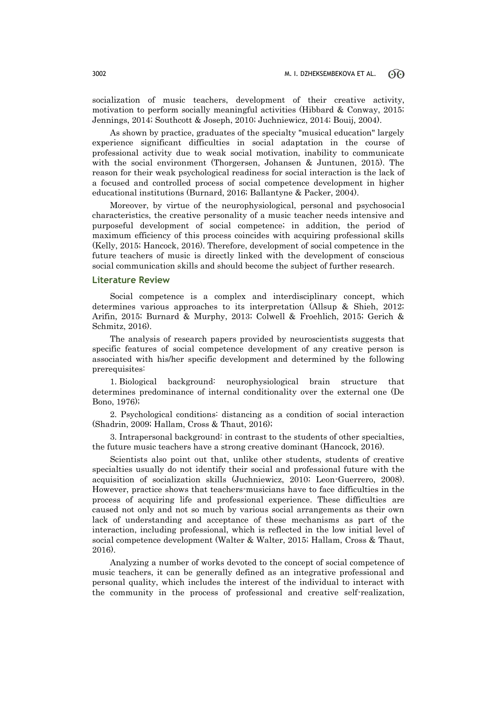socialization of music teachers, development of their creative activity, motivation to perform socially meaningful activities (Hibbard & Conway, 2015; Jennings, 2014; Southcott & Joseph, 2010; Juchniewicz, 2014; Bouij, 2004).

As shown by practice, graduates of the specialty "musical education" largely experience significant difficulties in social adaptation in the course of professional activity due to weak social motivation, inability to communicate with the social environment (Thorgersen, Johansen & Juntunen, 2015). The reason for their weak psychological readiness for social interaction is the lack of a focused and controlled process of social competence development in higher educational institutions (Burnard, 2016; Ballantyne & Packer, 2004).

Moreover, by virtue of the neurophysiological, personal and psychosocial characteristics, the creative personality of a music teacher needs intensive and purposeful development of social competence; in addition, the period of maximum efficiency of this process coincides with acquiring professional skills (Kelly, 2015; Hancock, 2016). Therefore, development of social competence in the future teachers of music is directly linked with the development of conscious social communication skills and should become the subject of further research.

### **Literature Review**

Social competence is a complex and interdisciplinary concept, which determines various approaches to its interpretation (Allsup & Shieh, 2012; Arifin, 2015; Burnard & Murphy, 2013; Colwell & Froehlich, 2015; Gerich & Schmitz, 2016).

The analysis of research papers provided by neuroscientists suggests that specific features of social competence development of any creative person is associated with his/her specific development and determined by the following prerequisites:

1. Biological background: neurophysiological brain structure that determines predominance of internal conditionality over the external one (De Bono, 1976);

2. Psychological conditions: distancing as a condition of social interaction (Shadrin, 2009; Hallam, Cross & Thaut, 2016);

3. Intrapersonal background: in contrast to the students of other specialties, the future music teachers have a strong creative dominant (Hancock, 2016).

Scientists also point out that, unlike other students, students of creative specialties usually do not identify their social and professional future with the acquisition of socialization skills (Juchniewicz, 2010; Leon-Guerrero, 2008). However, practice shows that teachers-musicians have to face difficulties in the process of acquiring life and professional experience. These difficulties are caused not only and not so much by various social arrangements as their own lack of understanding and acceptance of these mechanisms as part of the interaction, including professional, which is reflected in the low initial level of social competence development (Walter & Walter, 2015; Hallam, Cross & Thaut, 2016).

Analyzing a number of works devoted to the concept of social competence of music teachers, it can be generally defined as an integrative professional and personal quality, which includes the interest of the individual to interact with the community in the process of professional and creative self-realization,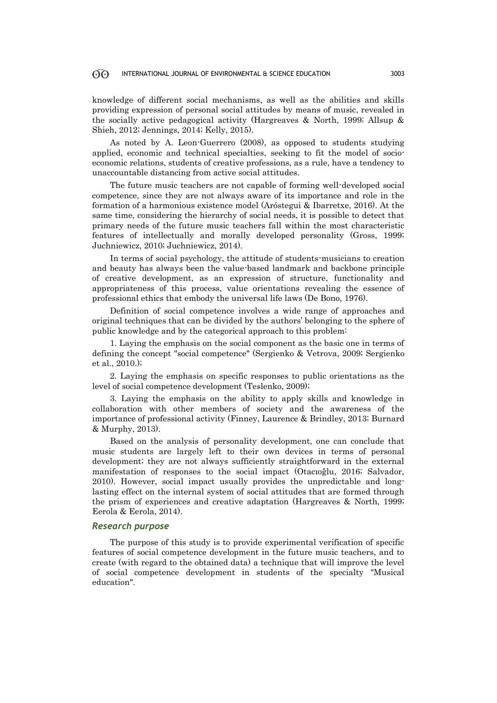#### 60 INTERNATIONAL JOURNAL OF ENVIRONMENTAL & SCIENCE EDUCATION 3003

knowledge of different social mechanisms, as well as the abilities and skills providing expression of personal social attitudes by means of music, revealed in the socially active pedagogical activity (Hargreaves & North, 1999; Allsup & Shieh, 2012; Jennings, 2014; Kelly, 2015).

As noted by A. Leon-Guerrero (2008), as opposed to students studying applied, economic and technical specialties, seeking to fit the model of socioeconomic relations, students of creative professions, as a rule, have a tendency to unaccountable distancing from active social attitudes.

The future music teachers are not capable of forming well-developed social competence, since they are not always aware of its importance and role in the formation of a harmonious existence model (Aróstegui & Ibarretxe, 2016). At the same time, considering the hierarchy of social needs, it is possible to detect that primary needs of the future music teachers fall within the most characteristic features of intellectually and morally developed personality (Gross, 1999; Juchniewicz, 2010; Juchniewicz, 2014).

In terms of social psychology, the attitude of students-musicians to creation and beauty has always been the value-based landmark and backbone principle of creative development, as an expression of structure, functionality and appropriateness of this process, value orientations revealing the essence of professional ethics that embody the universal life laws (De Bono, 1976).

Definition of social competence involves a wide range of approaches and original techniques that can be divided by the authors' belonging to the sphere of public knowledge and by the categorical approach to this problem:

1. Laying the emphasis on the social component as the basic one in terms of defining the concept "social competence" (Sergienko & Vetrova, 2009; Sergienko et al., 2010.);

2. Laying the emphasis on specific responses to public orientations as the level of social competence development (Teslenko, 2009);

3. Laying the emphasis on the ability to apply skills and knowledge in collaboration with other members of society and the awareness of the importance of professional activity (Finney, Laurence & Brindley, 2013; Burnard & Murphy, 2013).

Based on the analysis of personality development, one can conclude that music students are largely left to their own devices in terms of personal development; they are not always sufficiently straightforward in the external manifestation of responses to the social impact (Otacıoğlu, 2016; Salvador, 2010). However, social impact usually provides the unpredictable and longlasting effect on the internal system of social attitudes that are formed through the prism of experiences and creative adaptation (Hargreaves & North, 1999; Eerola & Eerola, 2014).

### *Research purpose*

The purpose of this study is to provide experimental verification of specific features of social competence development in the future music teachers, and to create (with regard to the obtained data) a technique that will improve the level of social competence development in students of the specialty "Musical education".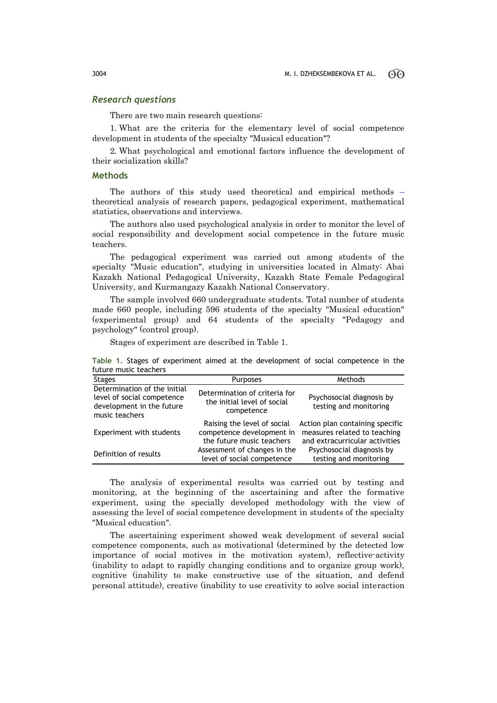# *Research questions*

There are two main research questions:

1. What are the criteria for the elementary level of social competence development in students of the specialty "Musical education"?

2. What psychological and emotional factors influence the development of their socialization skills?

## **Methods**

The authors of this study used theoretical and empirical methods – theoretical analysis of research papers, pedagogical experiment, mathematical statistics, observations and interviews.

The authors also used psychological analysis in order to monitor the level of social responsibility and development social competence in the future music teachers.

The pedagogical experiment was carried out among students of the specialty "Music education", studying in universities located in Almaty: Abai Kazakh National Pedagogical University, Kazakh State Female Pedagogical University, and Kurmangazy Kazakh National Conservatory.

The sample involved 660 undergraduate students. Total number of students made 660 people, including 596 students of the specialty "Musical education" (experimental group) and 64 students of the specialty "Pedagogy and psychology" (control group).

Stages of experiment are described in Table 1.

|                       |  |  |  |  |  |  |  | Table 1. Stages of experiment aimed at the development of social competence in the |  |  |  |
|-----------------------|--|--|--|--|--|--|--|------------------------------------------------------------------------------------|--|--|--|
| future music teachers |  |  |  |  |  |  |  |                                                                                    |  |  |  |
|                       |  |  |  |  |  |  |  |                                                                                    |  |  |  |

| <b>Stages</b>                                                                                             | <b>Purposes</b>                                                                       | Methods                                                                                           |
|-----------------------------------------------------------------------------------------------------------|---------------------------------------------------------------------------------------|---------------------------------------------------------------------------------------------------|
| Determination of the initial<br>level of social competence<br>development in the future<br>music teachers | Determination of criteria for<br>the initial level of social<br>competence            | Psychosocial diagnosis by<br>testing and monitoring                                               |
| Experiment with students                                                                                  | Raising the level of social<br>competence development in<br>the future music teachers | Action plan containing specific<br>measures related to teaching<br>and extracurricular activities |
| Definition of results                                                                                     | Assessment of changes in the<br>level of social competence                            | Psychosocial diagnosis by<br>testing and monitoring                                               |

The analysis of experimental results was carried out by testing and monitoring, at the beginning of the ascertaining and after the formative experiment, using the specially developed methodology with the view of assessing the level of social competence development in students of the specialty "Musical education".

The ascertaining experiment showed weak development of several social competence components, such as motivational (determined by the detected low importance of social motives in the motivation system), reflective-activity (inability to adapt to rapidly changing conditions and to organize group work), cognitive (inability to make constructive use of the situation, and defend personal attitude), creative (inability to use creativity to solve social interaction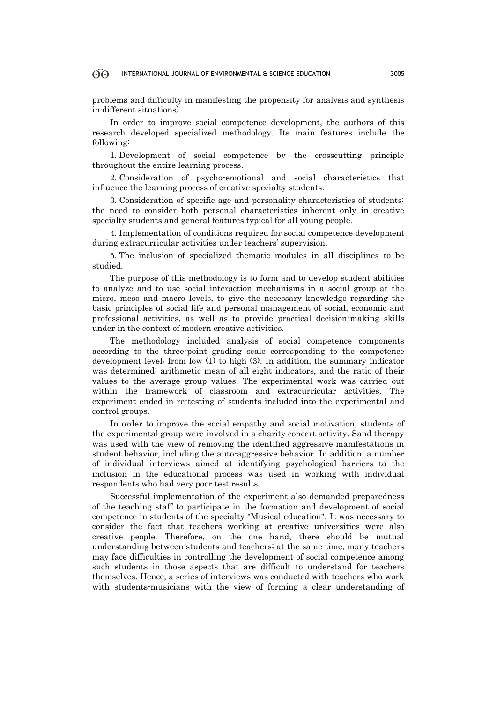#### 60 INTERNATIONAL JOURNAL OF ENVIRONMENTAL & SCIENCE EDUCATION 3005

problems and difficulty in manifesting the propensity for analysis and synthesis in different situations).

In order to improve social competence development, the authors of this research developed specialized methodology. Its main features include the following:

1. Development of social competence by the crosscutting principle throughout the entire learning process.

2. Consideration of psycho-emotional and social characteristics that influence the learning process of creative specialty students.

3. Consideration of specific age and personality characteristics of students: the need to consider both personal characteristics inherent only in creative specialty students and general features typical for all young people.

4. Implementation of conditions required for social competence development during extracurricular activities under teachers' supervision.

5. The inclusion of specialized thematic modules in all disciplines to be studied.

The purpose of this methodology is to form and to develop student abilities to analyze and to use social interaction mechanisms in a social group at the micro, meso and macro levels, to give the necessary knowledge regarding the basic principles of social life and personal management of social, economic and professional activities, as well as to provide practical decision-making skills under in the context of modern creative activities.

The methodology included analysis of social competence components according to the three-point grading scale corresponding to the competence development level: from low (1) to high (3). In addition, the summary indicator was determined: arithmetic mean of all eight indicators, and the ratio of their values to the average group values. The experimental work was carried out within the framework of classroom and extracurricular activities. The experiment ended in re-testing of students included into the experimental and control groups.

In order to improve the social empathy and social motivation, students of the experimental group were involved in a charity concert activity. Sand therapy was used with the view of removing the identified aggressive manifestations in student behavior, including the auto-aggressive behavior. In addition, a number of individual interviews aimed at identifying psychological barriers to the inclusion in the educational process was used in working with individual respondents who had very poor test results.

Successful implementation of the experiment also demanded preparedness of the teaching staff to participate in the formation and development of social competence in students of the specialty "Musical education". It was necessary to consider the fact that teachers working at creative universities were also creative people. Therefore, on the one hand, there should be mutual understanding between students and teachers; at the same time, many teachers may face difficulties in controlling the development of social competence among such students in those aspects that are difficult to understand for teachers themselves. Hence, a series of interviews was conducted with teachers who work with students-musicians with the view of forming a clear understanding of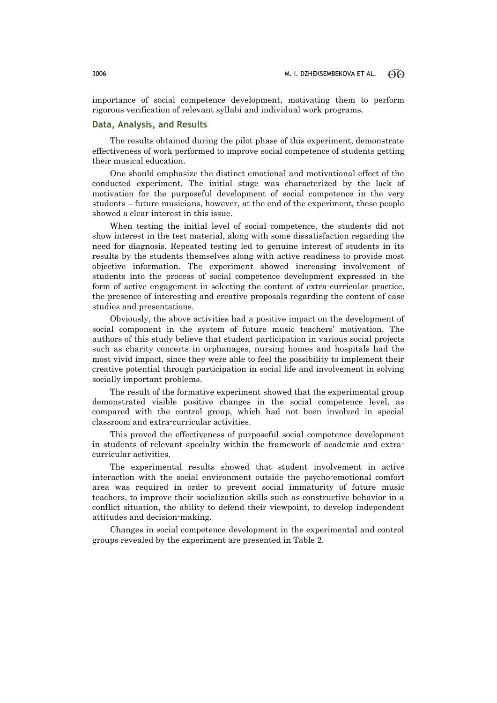importance of social competence development, motivating them to perform rigorous verification of relevant syllabi and individual work programs.

## **Data, Analysis, and Results**

The results obtained during the pilot phase of this experiment, demonstrate effectiveness of work performed to improve social competence of students getting their musical education.

One should emphasize the distinct emotional and motivational effect of the conducted experiment. The initial stage was characterized by the lack of motivation for the purposeful development of social competence in the very students – future musicians, however, at the end of the experiment, these people showed a clear interest in this issue.

When testing the initial level of social competence, the students did not show interest in the test material, along with some dissatisfaction regarding the need for diagnosis. Repeated testing led to genuine interest of students in its results by the students themselves along with active readiness to provide most objective information. The experiment showed increasing involvement of students into the process of social competence development expressed in the form of active engagement in selecting the content of extra-curricular practice, the presence of interesting and creative proposals regarding the content of case studies and presentations.

Obviously, the above activities had a positive impact on the development of social component in the system of future music teachers' motivation. The authors of this study believe that student participation in various social projects such as charity concerts in orphanages, nursing homes and hospitals had the most vivid impact, since they were able to feel the possibility to implement their creative potential through participation in social life and involvement in solving socially important problems.

The result of the formative experiment showed that the experimental group demonstrated visible positive changes in the social competence level, as compared with the control group, which had not been involved in special classroom and extra-curricular activities.

This proved the effectiveness of purposeful social competence development in students of relevant specialty within the framework of academic and extracurricular activities.

The experimental results showed that student involvement in active interaction with the social environment outside the psycho-emotional comfort area was required in order to prevent social immaturity of future music teachers, to improve their socialization skills such as constructive behavior in a conflict situation, the ability to defend their viewpoint, to develop independent attitudes and decision-making.

Changes in social competence development in the experimental and control groups revealed by the experiment are presented in Table 2.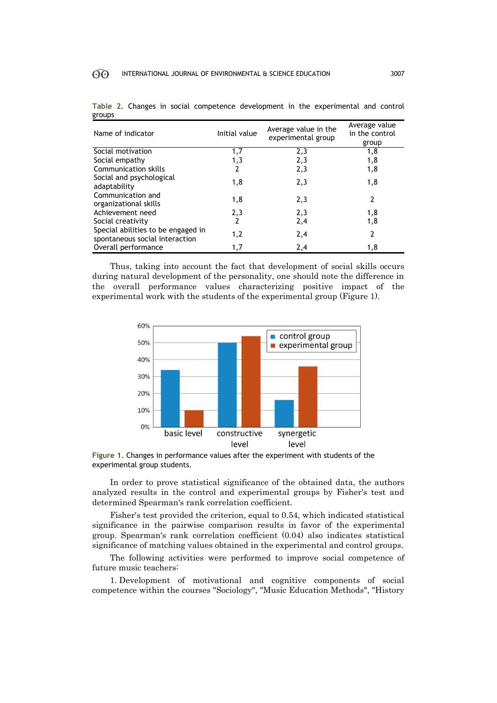| Name of indicator                                                    | Initial value  | Average value in the<br>experimental group | Average value<br>in the control<br>group |
|----------------------------------------------------------------------|----------------|--------------------------------------------|------------------------------------------|
| Social motivation                                                    | 1,7            | 2,3                                        | 1,8                                      |
| Social empathy                                                       | 1,3            | 2,3                                        | 1,8                                      |
| Communication skills                                                 | 2              | 2,3                                        | 1,8                                      |
| Social and psychological<br>adaptability                             | 1,8            | 2,3                                        | 1,8                                      |
| Communication and<br>organizational skills                           | 1,8            | 2,3                                        |                                          |
| Achievement need                                                     | 2,3            | 2,3                                        | 1,8                                      |
| Social creativity                                                    | $\overline{2}$ | 2,4                                        | 1,8                                      |
| Special abilities to be engaged in<br>spontaneous social interaction | 1,2            | 2,4                                        | 2                                        |
| Overall performance                                                  | 1,7            | 2,4                                        | 1,8                                      |

**Тable 2.** Changes in social competence development in the experimental and control groups

Thus, taking into account the fact that development of social skills occurs during natural development of the personality, one should note the difference in the overall performance values characterizing positive impact of the experimental work with the students of the experimental group (Figure 1).



**Figure 1.** Changes in performance values after the experiment with students of the experimental group students.

In order to prove statistical significance of the obtained data, the authors analyzed results in the control and experimental groups by Fisher's test and determined Spearman's rank correlation coefficient.

Fisher's test provided the criterion, equal to 0.54, which indicated statistical significance in the pairwise comparison results in favor of the experimental group. Spearman's rank correlation coefficient (0.04) also indicates statistical significance of matching values obtained in the experimental and control groups.

The following activities were performed to improve social competence of future music teachers:

1. Development of motivational and cognitive components of social competence within the courses "Sociology", "Music Education Methods", "History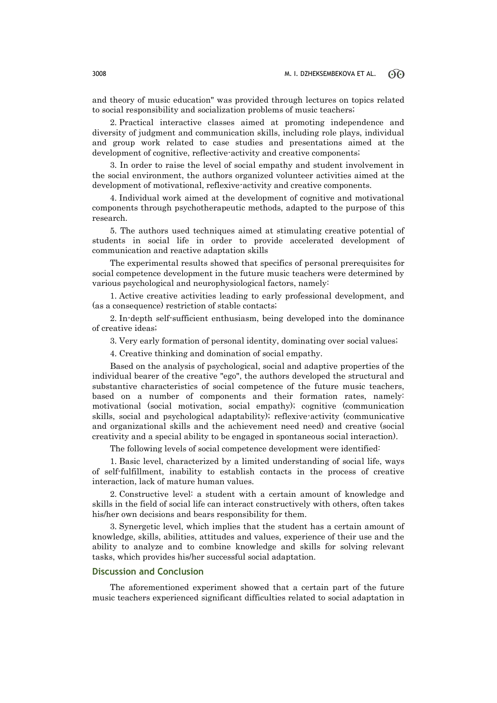and theory of music education" was provided through lectures on topics related to social responsibility and socialization problems of music teachers;

2. Practical interactive classes aimed at promoting independence and diversity of judgment and communication skills, including role plays, individual and group work related to case studies and presentations aimed at the development of cognitive, reflective-activity and creative components;

3. In order to raise the level of social empathy and student involvement in the social environment, the authors organized volunteer activities aimed at the development of motivational, reflexive-activity and creative components.

4. Individual work aimed at the development of cognitive and motivational components through psychotherapeutic methods, adapted to the purpose of this research.

5. The authors used techniques aimed at stimulating creative potential of students in social life in order to provide accelerated development of communication and reactive adaptation skills

The experimental results showed that specifics of personal prerequisites for social competence development in the future music teachers were determined by various psychological and neurophysiological factors, namely:

1. Active creative activities leading to early professional development, and (as a consequence) restriction of stable contacts;

2. In-depth self-sufficient enthusiasm, being developed into the dominance of creative ideas;

3. Very early formation of personal identity, dominating over social values;

4. Creative thinking and domination of social empathy.

Based on the analysis of psychological, social and adaptive properties of the individual bearer of the creative "ego", the authors developed the structural and substantive characteristics of social competence of the future music teachers, based on a number of components and their formation rates, namely: motivational (social motivation, social empathy); cognitive (communication skills, social and psychological adaptability); reflexive-activity (communicative and organizational skills and the achievement need need) and creative (social creativity and a special ability to be engaged in spontaneous social interaction).

The following levels of social competence development were identified:

1. Basic level, characterized by a limited understanding of social life, ways of self-fulfillment, inability to establish contacts in the process of creative interaction, lack of mature human values.

2. Constructive level: a student with a certain amount of knowledge and skills in the field of social life can interact constructively with others, often takes his/her own decisions and bears responsibility for them.

3. Synergetic level, which implies that the student has a certain amount of knowledge, skills, abilities, attitudes and values, experience of their use and the ability to analyze and to combine knowledge and skills for solving relevant tasks, which provides his/her successful social adaptation.

## **Discussion and Conclusion**

The aforementioned experiment showed that a certain part of the future music teachers experienced significant difficulties related to social adaptation in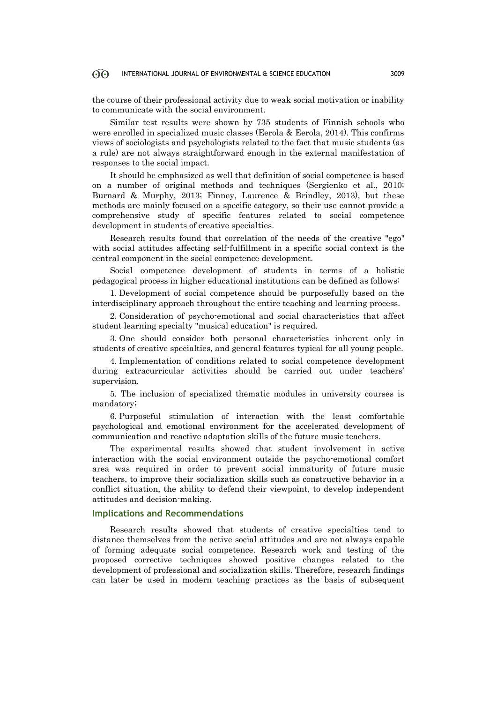#### 60 INTERNATIONAL JOURNAL OF ENVIRONMENTAL & SCIENCE EDUCATION 3009

the course of their professional activity due to weak social motivation or inability to communicate with the social environment.

Similar test results were shown by 735 students of Finnish schools who were enrolled in specialized music classes (Eerola & Eerola, 2014). This confirms views of sociologists and psychologists related to the fact that music students (as a rule) are not always straightforward enough in the external manifestation of responses to the social impact.

It should be emphasized as well that definition of social competence is based on a number of original methods and techniques (Sergienko et al., 2010; Burnard & Murphy, 2013; Finney, Laurence & Brindley, 2013), but these methods are mainly focused on a specific category, so their use cannot provide a comprehensive study of specific features related to social competence development in students of creative specialties.

Research results found that correlation of the needs of the creative "ego" with social attitudes affecting self-fulfillment in a specific social context is the central component in the social competence development.

Social competence development of students in terms of a holistic pedagogical process in higher educational institutions can be defined as follows:

1. Development of social competence should be purposefully based on the interdisciplinary approach throughout the entire teaching and learning process.

2. Consideration of psycho-emotional and social characteristics that affect student learning specialty "musical education" is required.

3. One should consider both personal characteristics inherent only in students of creative specialties, and general features typical for all young people.

4. Implementation of conditions related to social competence development during extracurricular activities should be carried out under teachers' supervision.

5. The inclusion of specialized thematic modules in university courses is mandatory;

6. Purposeful stimulation of interaction with the least comfortable psychological and emotional environment for the accelerated development of communication and reactive adaptation skills of the future music teachers.

The experimental results showed that student involvement in active interaction with the social environment outside the psycho-emotional comfort area was required in order to prevent social immaturity of future music teachers, to improve their socialization skills such as constructive behavior in a conflict situation, the ability to defend their viewpoint, to develop independent attitudes and decision-making.

# **Implications and Recommendations**

Research results showed that students of creative specialties tend to distance themselves from the active social attitudes and are not always capable of forming adequate social competence. Research work and testing of the proposed corrective techniques showed positive changes related to the development of professional and socialization skills. Therefore, research findings can later be used in modern teaching practices as the basis of subsequent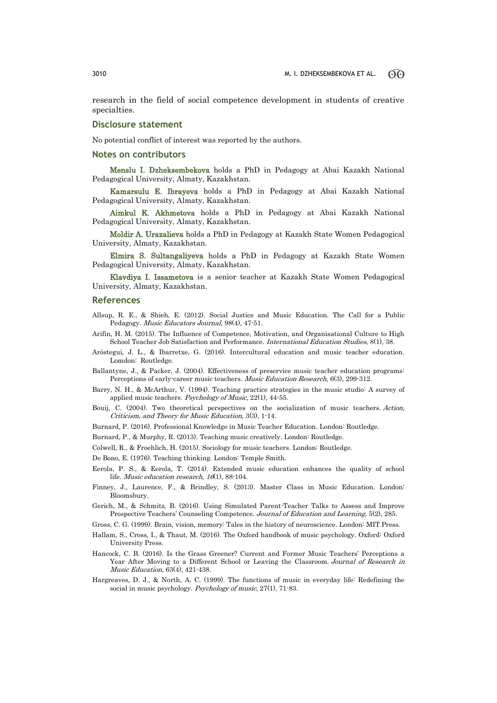research in the field of social competence development in students of creative specialties.

## **Disclosure statement**

No potential conflict of interest was reported by the authors.

### **Notes on contributors**

Menslu I. Dzheksembekova holds a PhD in Pedagogy at Abai Kazakh National Pedagogical University, Almaty, Kazakhstan.

Kamarsulu E. Ibrayeva holds a PhD in Pedagogy at Abai Kazakh National Pedagogical University, Almaty, Kazakhstan.

Aimkul K. Akhmetova holds a PhD in Pedagogy at Abai Kazakh National Pedagogical University, Almaty, Kazakhstan.

Moldir A. Urazalieva holds a PhD in Pedagogy at Kazakh State Women Pedagogical University, Almaty, Kazakhstan.

Elmira S. Sultangaliyeva holds a PhD in Pedagogy at Kazakh State Women Pedagogical University, Almaty, Kazakhstan.

Klavdiya I. Issametova is a senior teacher at Kazakh State Women Pedagogical University, Almaty, Kazakhstan.

### **References**

- Allsup, R. E., & Shieh, E. (2012). Social Justice and Music Education. The Call for a Public Pedagogy. Music Educators Journal, 98(4), 47-51.
- Arifin, H. M. (2015). The Influence of Competence, Motivation, and Organisational Culture to High School Teacher Job Satisfaction and Performance. International Education Studies, 8(1), 38.
- Aróstegui, J. L., & Ibarretxe, G. (2016). Intercultural education and music teacher education. Lomdon: Routledge.
- Ballantyne, J., & Packer, J. (2004). Effectiveness of preservice music teacher education programs: Perceptions of early-career music teachers. Music Education Research, 6(3), 299-312.
- Barry, N. H., & McArthur, V. (1994). Teaching practice strategies in the music studio: A survey of applied music teachers. Psychology of Music, 22(1), 44-55.
- Bouij, C. (2004). Two theoretical perspectives on the socialization of music teachers. Action, Criticism, and Theory for Music Education, 3(3), 1-14.
- Burnard, P. (2016). Professional Knowledge in Music Teacher Education. London: Routledge.
- Burnard, P., & Murphy, R. (2013). Teaching music creatively. London: Routledge.
- Colwell, R., & Froehlich, H. (2015). Sociology for music teachers. London: Routledge.
- De Bono, E. (1976). Teaching thinking. London: Temple Smith.
- Eerola, P. S., & Eerola, T. (2014). Extended music education enhances the quality of school life. *Music education research*,  $16(1)$ , 88-104.
- Finney, J., Laurence, F., & Brindley, S. (2013). Master Class in Music Education. London: Bloomsbury.
- Gerich, M., & Schmitz, B. (2016). Using Simulated Parent-Teacher Talks to Assess and Improve Prospective Teachers' Counseling Competence. Journal of Education and Learning, 5(2), 285.
- Gross, C. G. (1999). Brain, vision, memory: Tales in the history of neuroscience. London: MIT Press.
- Hallam, S., Cross, I., & Thaut, M. (2016). The Oxford handbook of music psychology. Oxford: Oxford University Press.
- Hancock, C. B. (2016). Is the Grass Greener? Current and Former Music Teachers' Perceptions a Year After Moving to a Different School or Leaving the Classroom. Journal of Research in Music Education, 63(4), 421-438.
- Hargreaves, D. J., & North, A. C. (1999). The functions of music in everyday life: Redefining the social in music psychology. Psychology of music, 27(1), 71-83.